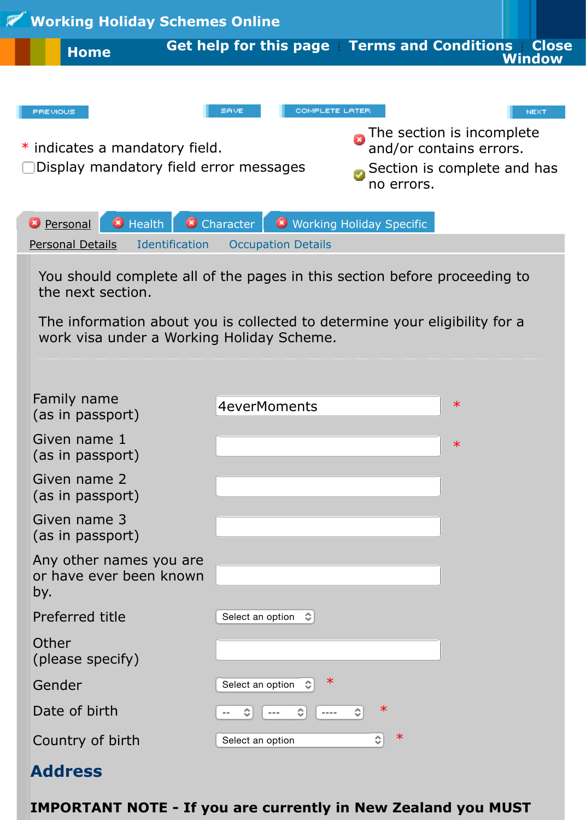Display mandatory field error messages

Section is complete a no errors.

and/or contains extensive contains extensive contains extensive contains extensive contains  $\blacksquare$ 

| <b>Personal</b>                                                                                                       | B Health B Character | <b>EX</b> Working Holiday Specific |  |
|-----------------------------------------------------------------------------------------------------------------------|----------------------|------------------------------------|--|
| <b>Personal Details</b>                                                                                               | Identification       | <b>Occupation Details</b>          |  |
| You should complete all of the pages in this section before proceeding<br>the next section.                           |                      |                                    |  |
| The information about you is collected to determine your eligibility for<br>work visa under a Working Holiday Scheme. |                      |                                    |  |
| Family name                                                                                                           |                      |                                    |  |
| (as in passport)                                                                                                      |                      | 4everMoments<br>$\ast$             |  |
| Given name 1<br>(as in passport)                                                                                      |                      | $\ast$                             |  |
| Given name 2<br>(as in passport)                                                                                      |                      |                                    |  |
| Given name 3<br>(as in passport)                                                                                      |                      |                                    |  |
| Any other names you are<br>or have ever been known<br>by.                                                             |                      |                                    |  |
| Preferred title                                                                                                       | Select an option     | ≎                                  |  |
| Other<br>(please specify)                                                                                             |                      |                                    |  |
| Gender                                                                                                                | Select an option     | ∗                                  |  |
| Date of birth                                                                                                         | ≎                    | $\ast$<br>≎<br>≎<br>$- - - -$      |  |
| Country of birth                                                                                                      | Select an option     | ∗<br>≎                             |  |
|                                                                                                                       |                      |                                    |  |

## **Address**

**IMPORTANT NOTE - If you are currently in New Zealand you MU**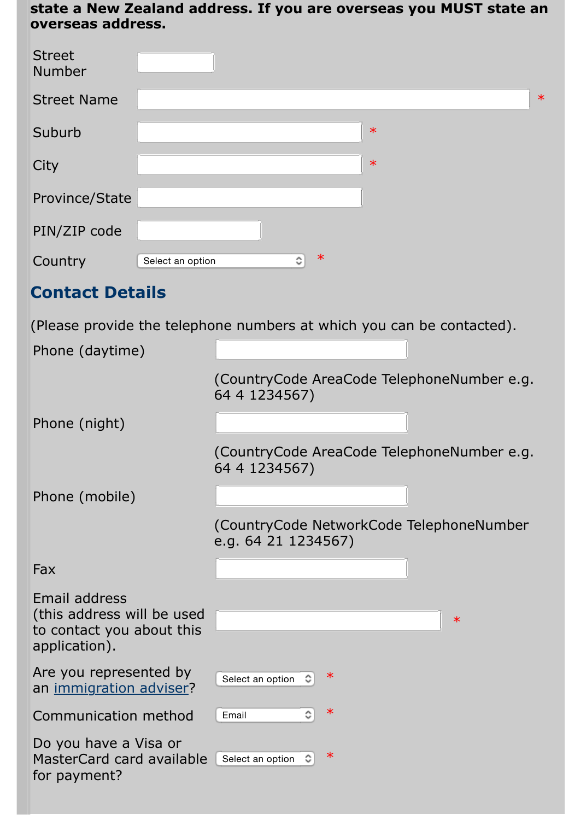| City                                                                                      | $\ast$                                                               |
|-------------------------------------------------------------------------------------------|----------------------------------------------------------------------|
| <b>Province/State</b>                                                                     |                                                                      |
| PIN/ZIP code                                                                              |                                                                      |
| Country<br>Select an option                                                               | ∗<br>≎                                                               |
|                                                                                           |                                                                      |
| <b>Contact Details</b>                                                                    |                                                                      |
|                                                                                           | (Please provide the telephone numbers at which you can be contacted) |
| Phone (daytime)                                                                           |                                                                      |
|                                                                                           | (CountryCode AreaCode TelephoneNumber e<br>64 4 1234567)             |
| Phone (night)                                                                             |                                                                      |
|                                                                                           | (CountryCode AreaCode TelephoneNumber e<br>64 4 1234567)             |
| Phone (mobile)                                                                            |                                                                      |
|                                                                                           | (CountryCode NetworkCode TelephoneNumb<br>e.g. 64 21 1234567)        |
| Fax                                                                                       |                                                                      |
| Email address<br>(this address will be used<br>to contact you about this<br>application). | $\ast$                                                               |
| Are you represented by<br>an immigration adviser?                                         | ∗<br>Select an option                                                |
| Communication method                                                                      | ∗<br>≎<br>Email                                                      |
| Do you have a Visa or<br>MasterCard card available<br>for payment?                        | ∗<br>Select an option                                                |